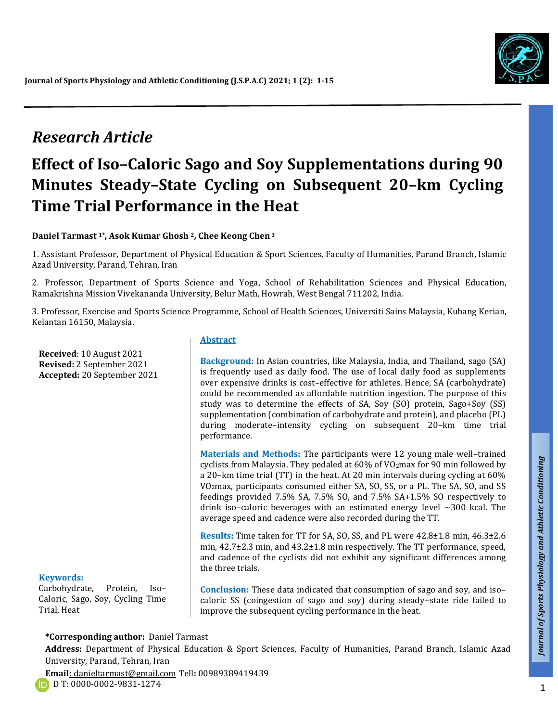

# *Research Article*

# **Effect of Iso–Caloric Sago and Soy Supplementations during 90 Minutes Steady–State Cycling on Subsequent 20–km Cycling Time Trial Performance in the Heat**

**Daniel Tarmast 1\* , Asok Kumar Ghosh <sup>2</sup>, Chee Keong Chen<sup>3</sup>**

1. Assistant Professor, Department of Physical Education & Sport Sciences, Faculty of Humanities, Parand Branch, Islamic Azad University, Parand, Tehran, Iran

2. Professor, Department of Sports Science and Yoga, School of Rehabilitation Sciences and Physical Education, Ramakrishna Mission Vivekananda University, Belur Math, Howrah, West Bengal 711202, India.

3. Professor, Exercise and Sports Science Programme, School of Health Sciences, Universiti Sains Malaysia, Kubang Kerian, Kelantan 16150, Malaysia.

**Abstract**

**Received**: 10 August 2021 **Revised:** 2 September 2021 **Accepted:** 20 September 2021

**Background:** In Asian countries, like Malaysia, India, and Thailand, sago (SA) is frequently used as daily food. The use of local daily food as supplements over expensive drinks is cost–effective for athletes. Hence, SA (carbohydrate) could be recommended as affordable nutrition ingestion. The purpose of this study was to determine the effects of SA, Soy (SO) protein, Sago+Soy (SS) supplementation (combination of carbohydrate and protein), and placebo (PL) during moderate–intensity cycling on subsequent 20–km time trial performance.

**Materials and Methods:** The participants were 12 young male well–trained cyclists from Malaysia. They pedaled at 60% of VO2max for 90 min followed by a 20–km time trial (TT) in the heat. At 20 min intervals during cycling at 60% VO2max, participants consumed either SA, SO, SS, or a PL. The SA, SO, and SS feedings provided 7.5% SA, 7.5% SO, and 7.5% SA+1.5% SO respectively to drink iso-caloric beverages with an estimated energy level  $\sim$ 300 kcal. The average speed and cadence were also recorded during the TT.

**Results:** Time taken for TT for SA, SO, SS, and PL were 42.8±1.8 min, 46.3±2.6 min, 42.7±2.3 min, and 43.2±1.8 min respectively. The TT performance, speed, and cadence of the cyclists did not exhibit any significant differences among the three trials.

### **Keywords:**

Carbohydrate, Protein, Iso– Caloric, Sago, Soy, Cycling Time Trial, Heat

**Conclusion:** These data indicated that consumption of sago and soy, and iso– caloric SS (coingestion of sago and soy) during steady–state ride failed to improve the subsequent cycling performance in the heat.

### **\*Corresponding author:** Daniel Tarmast

**Address:** Department of Physical Education & Sport Sciences, Faculty of Humanities, Parand Branch, Islamic Azad University, Parand, Tehran, Iran

**Email:** danieltarmast@gmail.com Tell**:** 00989389419439

*Talk*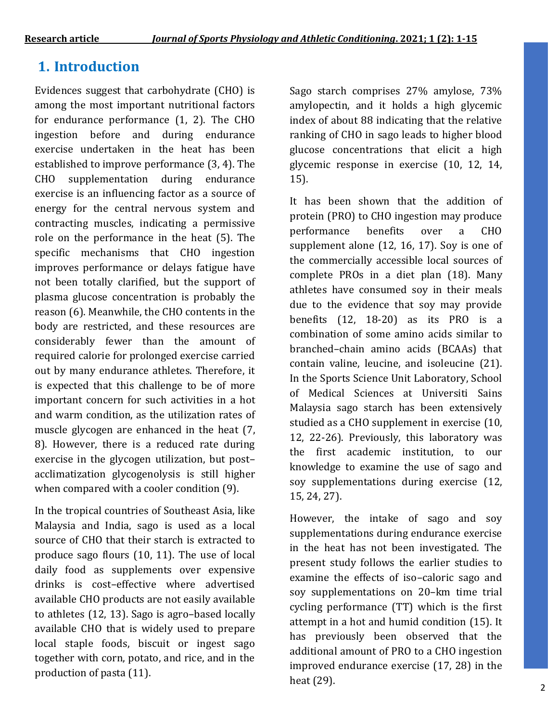# **1. Introduction**

Evidences suggest that carbohydrate (CHO) is among the most important nutritional factors for endurance performance (1, 2). The CHO ingestion before and during endurance exercise undertaken in the heat has been established to improve performance (3, 4). The CHO supplementation during endurance exercise is an influencing factor as a source of energy for the central nervous system and contracting muscles, indicating a permissive role on the performance in the heat (5). The specific mechanisms that CHO ingestion improves performance or delays fatigue have not been totally clarified, but the support of plasma glucose concentration is probably the reason (6). Meanwhile, the CHO contents in the body are restricted, and these resources are considerably fewer than the amount of required calorie for prolonged exercise carried out by many endurance athletes. Therefore, it is expected that this challenge to be of more important concern for such activities in a hot and warm condition, as the utilization rates of muscle glycogen are enhanced in the heat (7, 8). However, there is a reduced rate during exercise in the glycogen utilization, but post– acclimatization glycogenolysis is still higher when compared with a cooler condition (9).

In the tropical countries of Southeast Asia, like Malaysia and India, sago is used as a local source of CHO that their starch is extracted to produce sago flours (10, 11). The use of local daily food as supplements over expensive drinks is cost–effective where advertised available CHO products are not easily available to athletes (12, 13). Sago is agro–based locally available CHO that is widely used to prepare local staple foods, biscuit or ingest sago together with corn, potato, and rice, and in the production of pasta (11).

Sago starch comprises 27% amylose, 73% amylopectin, and it holds a high glycemic index of about 88 indicating that the relative ranking of CHO in sago leads to higher blood glucose concentrations that elicit a high glycemic response in exercise (10, 12, 14, 15).

It has been shown that the addition of protein (PRO) to CHO ingestion may produce performance benefits over a CHO supplement alone (12, 16, 17). Soy is one of the commercially accessible local sources of complete PROs in a diet plan (18). Many athletes have consumed soy in their meals due to the evidence that soy may provide benefits  $(12, 18-20)$  as its PRO is a combination of some amino acids similar to branched–chain amino acids (BCAAs) that contain valine, leucine, and isoleucine (21). In the Sports Science Unit Laboratory, School of Medical Sciences at Universiti Sains Malaysia sago starch has been extensively studied as a CHO supplement in exercise (10, 12, 22-26). Previously, this laboratory was the first academic institution, to our knowledge to examine the use of sago and soy supplementations during exercise (12, 15, 24, 27).

However, the intake of sago and soy supplementations during endurance exercise in the heat has not been investigated. The present study follows the earlier studies to examine the effects of iso–caloric sago and soy supplementations on 20–km time trial cycling performance (TT) which is the first attempt in a hot and humid condition (15). It has previously been observed that the additional amount of PRO to a CHO ingestion improved endurance exercise (17, 28) in the heat (29).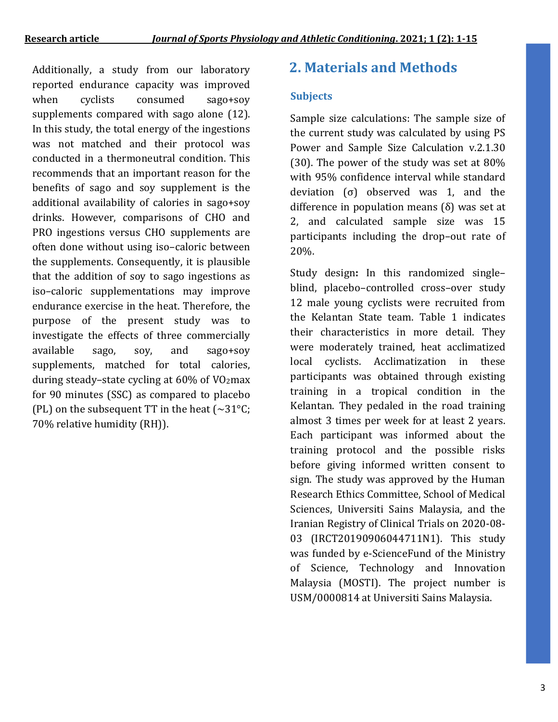Additionally, a study from our laboratory **2. Materials and Methods** reported endurance capacity was improved when cyclists consumed sago+soy supplements compared with sago alone (12). In this study, the total energy of the ingestions was not matched and their protocol was conducted in a thermoneutral condition. This recommends that an important reason for the benefits of sago and soy supplement is the additional availability of calories in sago+soy drinks. However, comparisons of CHO and PRO ingestions versus CHO supplements are often done without using iso–caloric between the supplements. Consequently, it is plausible that the addition of soy to sago ingestions as iso–caloric supplementations may improve endurance exercise in the heat. Therefore, the purpose of the present study was to investigate the effects of three commercially available sago, soy, and sago+soy supplements, matched for total calories, during steady–state cycling at  $60\%$  of VO<sub>2</sub>max for 90 minutes (SSC) as compared to placebo (PL) on the subsequent TT in the heat  $(\sim 31^{\circ}C)$ ; 70% relative humidity (RH)).

### **Subjects**

Sample size calculations: The sample size of the current study was calculated by using PS Power and Sample Size Calculation v.2.1.30 (30). The power of the study was set at 80% with 95% confidence interval while standard deviation (σ) observed was 1, and the difference in population means (δ) was set at 2, and calculated sample size was 15 participants including the drop–out rate of 20%.

Study design**:** In this randomized single– blind, placebo–controlled cross–over study 12 male young cyclists were recruited from the Kelantan State team. Table 1 indicates their characteristics in more detail. They were moderately trained, heat acclimatized local cyclists. Acclimatization in these participants was obtained through existing training in a tropical condition in the Kelantan. They pedaled in the road training almost 3 times per week for at least 2 years. Each participant was informed about the training protocol and the possible risks before giving informed written consent to sign. The study was approved by the Human Research Ethics Committee, School of Medical Sciences, Universiti Sains Malaysia, and the Iranian Registry of Clinical Trials on 2020-08- 03 (IRCT20190906044711N1). This study was funded by e-ScienceFund of the Ministry of Science, Technology and Innovation Malaysia (MOSTI). The project number is USM/0000814 at Universiti Sains Malaysia.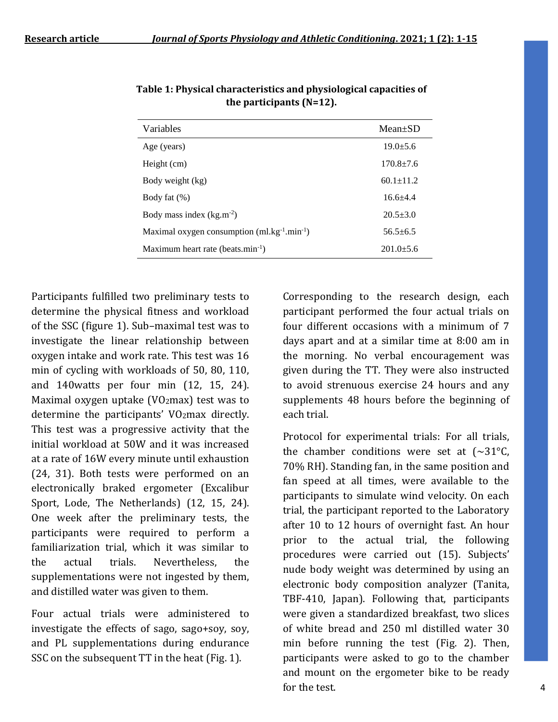| Variables                                          | $Mean+SD$       |
|----------------------------------------------------|-----------------|
| Age (years)                                        | $19.0 + 5.6$    |
| Height (cm)                                        | $170.8 + 7.6$   |
| Body weight (kg)                                   | $60.1 \pm 11.2$ |
| Body fat $(\%)$                                    | $16.6 + 4.4$    |
| Body mass index $(kg.m^{-2})$                      | $20.5 + 3.0$    |
| Maximal oxygen consumption $(ml.kg^{-1}.min^{-1})$ | $56.5 + 6.5$    |
| Maximum heart rate (beats.min <sup>-1</sup> )      | $201.0 + 5.6$   |

**Table 1: Physical characteristics and physiological capacities of the participants (N=12).**

Participants fulfilled two preliminary tests to determine the physical fitness and workload of the SSC (figure 1). Sub–maximal test was to investigate the linear relationship between oxygen intake and work rate. This test was 16 min of cycling with workloads of 50, 80, 110, and 140watts per four min (12, 15, 24). Maximal oxygen uptake ( $VO<sub>2</sub>$ max) test was to determine the participants' VO<sub>2</sub>max directly. This test was a progressive activity that the initial workload at 50W and it was increased at a rate of 16W every minute until exhaustion (24, 31). Both tests were performed on an electronically braked ergometer (Excalibur Sport, Lode, The Netherlands) (12, 15, 24). One week after the preliminary tests, the participants were required to perform a familiarization trial, which it was similar to the actual trials. Nevertheless, the supplementations were not ingested by them, and distilled water was given to them.

Four actual trials were administered to investigate the effects of sago, sago+soy, soy, and PL supplementations during endurance SSC on the subsequent TT in the heat (Fig. 1).

Corresponding to the research design, each participant performed the four actual trials on four different occasions with a minimum of 7 days apart and at a similar time at 8:00 am in the morning. No verbal encouragement was given during the TT. They were also instructed to avoid strenuous exercise 24 hours and any supplements 48 hours before the beginning of each trial.

Protocol for experimental trials: For all trials, the chamber conditions were set at  $\sim 31^{\circ}$ C, 70% RH). Standing fan, in the same position and fan speed at all times, were available to the participants to simulate wind velocity. On each trial, the participant reported to the Laboratory after 10 to 12 hours of overnight fast. An hour prior to the actual trial, the following procedures were carried out (15). Subjects' nude body weight was determined by using an electronic body composition analyzer (Tanita, TBF-410, Japan). Following that, participants were given a standardized breakfast, two slices of white bread and 250 ml distilled water 30 min before running the test (Fig. 2). Then, participants were asked to go to the chamber and mount on the ergometer bike to be ready for the test.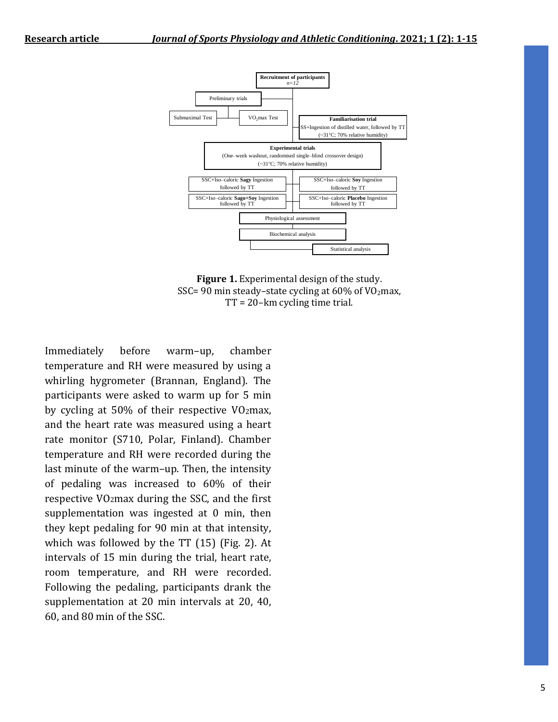



Immediately before warm–up, chamber temperature and RH were measured by using a whirling hygrometer (Brannan, England). The participants were asked to warm up for 5 min by cycling at 50% of their respective VO2max, and the heart rate was measured using a heart rate monitor (S710, Polar, Finland). Chamber temperature and RH were recorded during the last minute of the warm–up. Then, the intensity of pedaling was increased to 60% of their respective VO2max during the SSC, and the first supplementation was ingested at 0 min, then they kept pedaling for 90 min at that intensity, which was followed by the TT (15) (Fig. 2). At intervals of 15 min during the trial, heart rate, room temperature, and RH were recorded. Following the pedaling, participants drank the supplementation at 20 min intervals at 20, 40, 60, and 80 min of the SSC.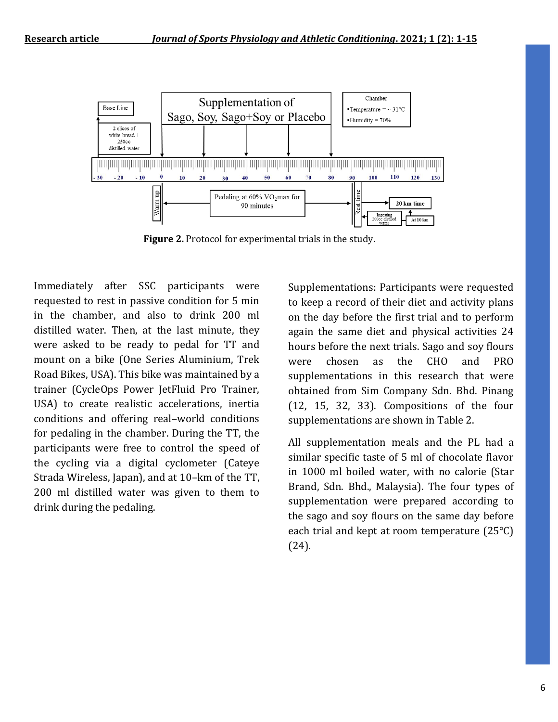

**Figure 2.** Protocol for experimental trials in the study.

Immediately after SSC participants were requested to rest in passive condition for 5 min in the chamber, and also to drink 200 ml distilled water. Then, at the last minute, they were asked to be ready to pedal for TT and mount on a bike (One Series Aluminium, Trek Road Bikes, USA). This bike was maintained by a trainer (CycleOps Power JetFluid Pro Trainer, USA) to create realistic accelerations, inertia conditions and offering real–world conditions for pedaling in the chamber. During the TT, the participants were free to control the speed of the cycling via a digital cyclometer (Cateye Strada Wireless, Japan), and at 10–km of the TT, 200 ml distilled water was given to them to drink during the pedaling.

Supplementations: Participants were requested to keep a record of their diet and activity plans on the day before the first trial and to perform again the same diet and physical activities 24 hours before the next trials. Sago and soy flours were chosen as the CHO and PRO supplementations in this research that were obtained from Sim Company Sdn. Bhd. Pinang (12, 15, 32, 33). Compositions of the four supplementations are shown in Table 2.

All supplementation meals and the PL had a similar specific taste of 5 ml of chocolate flavor in 1000 ml boiled water, with no calorie (Star Brand, Sdn. Bhd., Malaysia). The four types of supplementation were prepared according to the sago and soy flours on the same day before each trial and kept at room temperature (25°C) (24).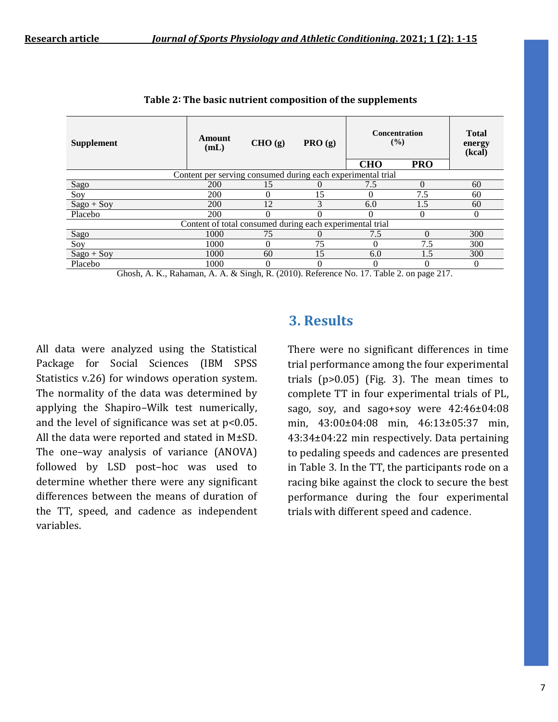| <b>Supplement</b>                                           | Amount<br>(mL) | CHO (g)                                 | PRO(g) | <b>Concentration</b><br>$($ %)                                                             |                      | <b>Total</b><br>energy<br>(kcal) |
|-------------------------------------------------------------|----------------|-----------------------------------------|--------|--------------------------------------------------------------------------------------------|----------------------|----------------------------------|
|                                                             |                |                                         |        | <b>CHO</b>                                                                                 | <b>PRO</b>           |                                  |
| Content per serving consumed during each experimental trial |                |                                         |        |                                                                                            |                      |                                  |
| Sago                                                        | <b>200</b>     | 15                                      |        | 7.5                                                                                        |                      | 60                               |
| Soy                                                         | 200            | $\Omega$                                | 15     |                                                                                            | 7.5                  | 60                               |
| $Sago + Sov$                                                | <b>200</b>     | 12                                      | 3      | 6.0                                                                                        | 1.5                  | 60                               |
| Placebo                                                     | 200            | 0                                       |        |                                                                                            |                      | 0                                |
| Content of total consumed during each experimental trial    |                |                                         |        |                                                                                            |                      |                                  |
| Sago                                                        | 1000           | 75                                      |        | 7.5                                                                                        | 0                    | 300                              |
| Soy                                                         | 1000           | $\Omega$                                | 75     | $\Omega$                                                                                   | 7.5                  | 300                              |
| $Sago + Soy$                                                | 1000           | 60                                      | 15     | 6.0                                                                                        | 1.5                  | 300                              |
| Placebo                                                     | 1000           | 0                                       |        |                                                                                            |                      | 0                                |
| $\sim$<br>$\mathbf{r}$ and $\mathbf{r}$                     | $\cdots$       | $\mathbf{1}$ m $(0.010)$ m $\mathbf{0}$ |        | $\overline{a}$ $\overline{a}$ $\overline{a}$ $\overline{a}$ $\overline{a}$<br>$\mathbf{v}$ | $\sim$ $\sim$ $\sim$ |                                  |

| Table 2: The basic nutrient composition of the supplements |  |  |
|------------------------------------------------------------|--|--|
|------------------------------------------------------------|--|--|

Ghosh, A. K., Rahaman, A. A. & Singh, R. (2010). Reference No. 17. Table 2. on page 217.

All data were analyzed using the Statistical Package for Social Sciences (IBM SPSS Statistics v.26) for windows operation system. The normality of the data was determined by applying the Shapiro–Wilk test numerically, and the level of significance was set at  $p<0.05$ . All the data were reported and stated in M±SD. The one–way analysis of variance (ANOVA) followed by LSD post–hoc was used to determine whether there were any significant differences between the means of duration of the TT, speed, and cadence as independent variables.

## **3. Results**

There were no significant differences in time trial performance among the four experimental trials  $(p>0.05)$  (Fig. 3). The mean times to complete TT in four experimental trials of PL, sago, soy, and sago+soy were 42:46±04:08 min, 43:00±04:08 min, 46:13±05:37 min, 43:34±04:22 min respectively. Data pertaining to pedaling speeds and cadences are presented in Table 3. In the TT, the participants rode on a racing bike against the clock to secure the best performance during the four experimental trials with different speed and cadence.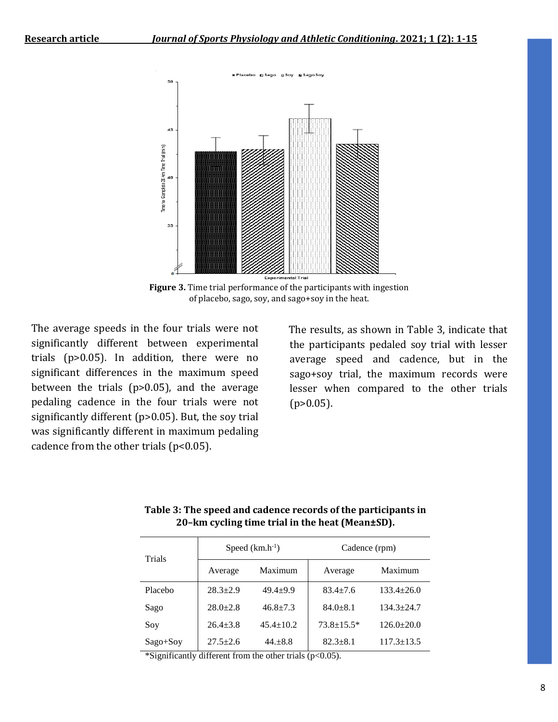

**Figure 3.** Time trial performance of the participants with ingestion of placebo, sago, soy, and sago+soy in the heat.

The average speeds in the four trials were not significantly different between experimental trials (p>0.05). In addition, there were no significant differences in the maximum speed between the trials (p>0.05), and the average pedaling cadence in the four trials were not significantly different (p>0.05). But, the soy trial was significantly different in maximum pedaling cadence from the other trials ( $p<0.05$ ).

 The results, as shown in Table 3, indicate that the participants pedaled soy trial with lesser average speed and cadence, but in the sago+soy trial, the maximum records were lesser when compared to the other trials  $(p>0.05)$ .

| Trials     | Speed $(km.h^{-1})$ |                 | Cadence (rpm)    |                  |
|------------|---------------------|-----------------|------------------|------------------|
|            | Average             | Maximum         | Average          | Maximum          |
| Placebo    | $28.3 \pm 2.9$      | $49.4 + 9.9$    | $83.4 + 7.6$     | $133.4 \pm 26.0$ |
| Sago       | $28.0+2.8$          | $46.8 + 7.3$    | $84.0 + 8.1$     | $134.3 + 24.7$   |
| Soy        | $26.4 + 3.8$        | $45.4 \pm 10.2$ | $73.8 \pm 15.5*$ | $126.0+20.0$     |
| $Sago+Soy$ | $27.5 \pm 2.6$      | $44. + 8.8$     | $82.3 + 8.1$     | $117.3 \pm 13.5$ |

**Table 3: The speed and cadence records of the participants in 20–km cycling time trial in the heat (Mean±SD).**

\*Significantly different from the other trials  $(p<0.05)$ .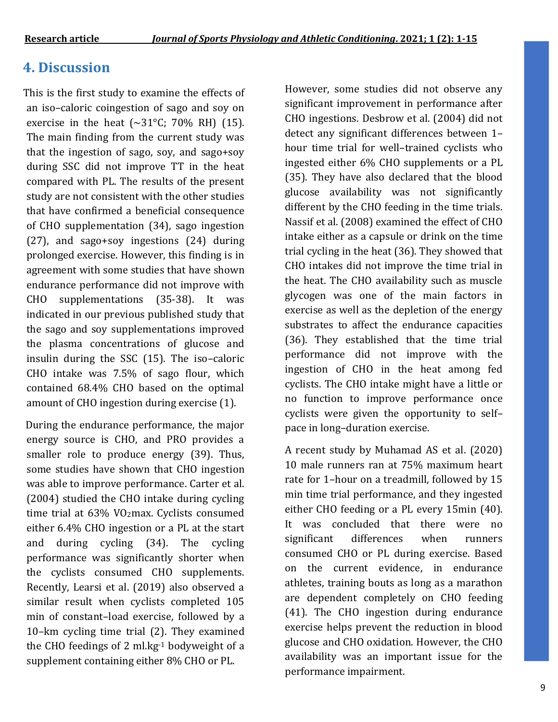# **4. Discussion**

 This is the first study to examine the effects of an iso–caloric coingestion of sago and soy on exercise in the heat  $(\sim 31^{\circ}$ C; 70% RH) (15). The main finding from the current study was that the ingestion of sago, soy, and sago+soy during SSC did not improve TT in the heat compared with PL. The results of the present study are not consistent with the other studies that have confirmed a beneficial consequence of CHO supplementation (34), sago ingestion (27), and sago+soy ingestions (24) during prolonged exercise. However, this finding is in agreement with some studies that have shown endurance performance did not improve with CHO supplementations (35-38). It was indicated in our previous published study that the sago and soy supplementations improved the plasma concentrations of glucose and insulin during the SSC (15). The iso–caloric CHO intake was 7.5% of sago flour, which contained 68.4% CHO based on the optimal amount of CHO ingestion during exercise (1).

 During the endurance performance, the major energy source is CHO, and PRO provides a smaller role to produce energy (39). Thus, some studies have shown that CHO ingestion was able to improve performance. Carter et al. (2004) studied the CHO intake during cycling time trial at 63% VO2max. Cyclists consumed either 6.4% CHO ingestion or a PL at the start and during cycling (34). The cycling performance was significantly shorter when the cyclists consumed CHO supplements. Recently, Learsi et al. (2019) also observed a similar result when cyclists completed 105 min of constant–load exercise, followed by a 10–km cycling time trial (2). They examined the CHO feedings of 2 ml.kg-1 bodyweight of a supplement containing either 8% CHO or PL.

However, some studies did not observe any significant improvement in performance after CHO ingestions. Desbrow et al. (2004) did not detect any significant differences between 1– hour time trial for well–trained cyclists who ingested either 6% CHO supplements or a PL (35). They have also declared that the blood glucose availability was not significantly different by the CHO feeding in the time trials. Nassif et al. (2008) examined the effect of CHO intake either as a capsule or drink on the time trial cycling in the heat (36). They showed that CHO intakes did not improve the time trial in the heat. The CHO availability such as muscle glycogen was one of the main factors in exercise as well as the depletion of the energy substrates to affect the endurance capacities (36). They established that the time trial performance did not improve with the ingestion of CHO in the heat among fed cyclists. The CHO intake might have a little or no function to improve performance once cyclists were given the opportunity to self– pace in long–duration exercise.

A recent study by Muhamad AS et al. (2020) 10 male runners ran at 75% maximum heart rate for 1–hour on a treadmill, followed by 15 min time trial performance, and they ingested either CHO feeding or a PL every 15min (40). It was concluded that there were no significant differences when runners consumed CHO or PL during exercise. Based on the current evidence, in endurance athletes, training bouts as long as a marathon are dependent completely on CHO feeding (41). The CHO ingestion during endurance exercise helps prevent the reduction in blood glucose and CHO oxidation. However, the CHO availability was an important issue for the performance impairment.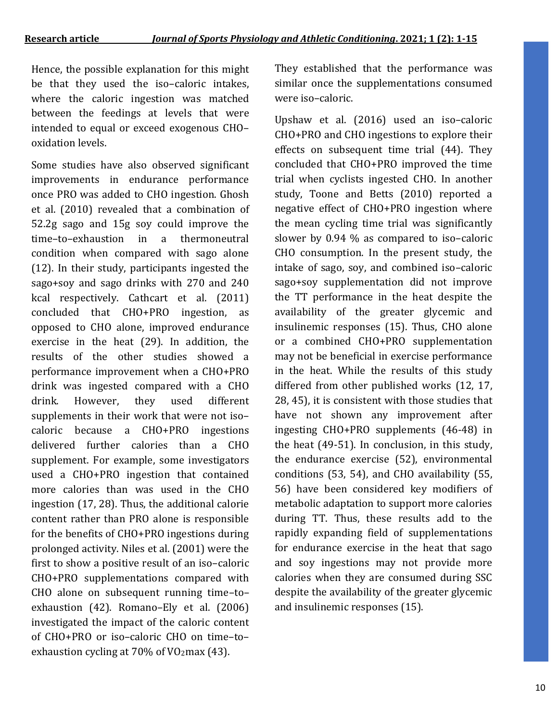Hence, the possible explanation for this might be that they used the iso–caloric intakes, where the caloric ingestion was matched between the feedings at levels that were intended to equal or exceed exogenous CHO– oxidation levels.

Some studies have also observed significant improvements in endurance performance once PRO was added to CHO ingestion. Ghosh et al. (2010) revealed that a combination of 52.2g sago and 15g soy could improve the time–to–exhaustion in a thermoneutral condition when compared with sago alone (12). In their study, participants ingested the sago+soy and sago drinks with 270 and 240 kcal respectively. Cathcart et al. (2011) concluded that CHO+PRO ingestion, as opposed to CHO alone, improved endurance exercise in the heat (29). In addition, the results of the other studies showed a performance improvement when a CHO+PRO drink was ingested compared with a CHO drink. However, they used different supplements in their work that were not iso– caloric because a CHO+PRO ingestions delivered further calories than a CHO supplement. For example, some investigators used a CHO+PRO ingestion that contained more calories than was used in the CHO ingestion (17, 28). Thus, the additional calorie content rather than PRO alone is responsible for the benefits of CHO+PRO ingestions during prolonged activity. Niles et al. (2001) were the first to show a positive result of an iso–caloric CHO+PRO supplementations compared with CHO alone on subsequent running time–to– exhaustion (42). Romano–Ely et al. (2006) investigated the impact of the caloric content of CHO+PRO or iso–caloric CHO on time–to– exhaustion cycling at 70% of VO2max (43).

They established that the performance was similar once the supplementations consumed were iso–caloric.

Upshaw et al. (2016) used an iso–caloric CHO+PRO and CHO ingestions to explore their effects on subsequent time trial (44). They concluded that CHO+PRO improved the time trial when cyclists ingested CHO. In another study, Toone and Betts (2010) reported a negative effect of CHO+PRO ingestion where the mean cycling time trial was significantly slower by 0.94 % as compared to iso–caloric CHO consumption. In the present study, the intake of sago, soy, and combined iso–caloric sago+soy supplementation did not improve the TT performance in the heat despite the availability of the greater glycemic and insulinemic responses (15). Thus, CHO alone or a combined CHO+PRO supplementation may not be beneficial in exercise performance in the heat. While the results of this study differed from other published works (12, 17, 28, 45), it is consistent with those studies that have not shown any improvement after ingesting CHO+PRO supplements (46-48) in the heat (49-51). In conclusion, in this study, the endurance exercise (52), environmental conditions (53, 54), and CHO availability (55, 56) have been considered key modifiers of metabolic adaptation to support more calories during TT. Thus, these results add to the rapidly expanding field of supplementations for endurance exercise in the heat that sago and soy ingestions may not provide more calories when they are consumed during SSC despite the availability of the greater glycemic and insulinemic responses (15).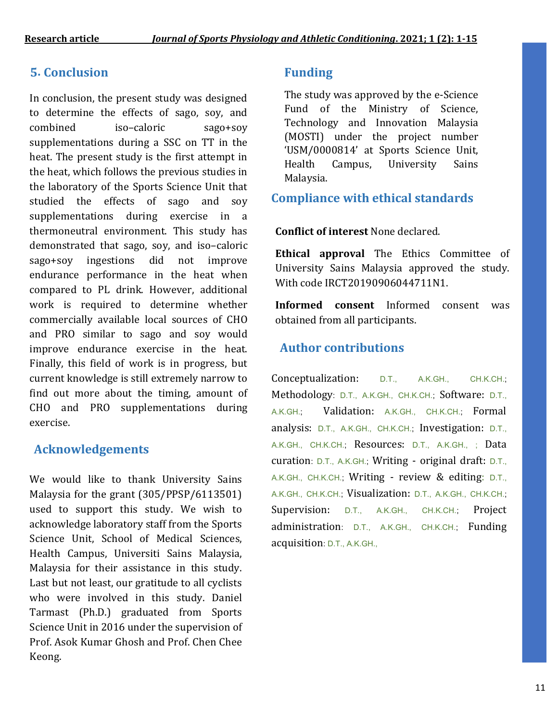# **5. Conclusion Funding**

In conclusion, the present study was designed to determine the effects of sago, soy, and combined iso–caloric sago+soy supplementations during a SSC on TT in the heat. The present study is the first attempt in the heat, which follows the previous studies in the laboratory of the Sports Science Unit that studied the effects of sago and soy supplementations during exercise in a thermoneutral environment. This study has demonstrated that sago, soy, and iso–caloric sago+soy ingestions did not improve endurance performance in the heat when compared to PL drink. However, additional work is required to determine whether commercially available local sources of CHO and PRO similar to sago and soy would improve endurance exercise in the heat. Finally, this field of work is in progress, but current knowledge is still extremely narrow to find out more about the timing, amount of CHO and PRO supplementations during exercise.

## **Acknowledgements**

We would like to thank University Sains Malaysia for the grant (305/PPSP/6113501) used to support this study. We wish to acknowledge laboratory staff from the Sports Science Unit, School of Medical Sciences, Health Campus, Universiti Sains Malaysia, Malaysia for their assistance in this study. Last but not least, our gratitude to all cyclists who were involved in this study. Daniel Tarmast (Ph.D.) graduated from Sports Science Unit in 2016 under the supervision of Prof. Asok Kumar Ghosh and Prof. Chen Chee Keong.

The study was approved by the e-Science Fund of the Ministry of Science, Technology and Innovation Malaysia (MOSTI) under the project number 'USM/0000814' at Sports Science Unit, Health Campus, University Sains Malaysia.

## **Compliance with ethical standards**

### **Conflict of interest** None declared.

**Ethical approval** The Ethics Committee of University Sains Malaysia approved the study. With code IRCT20190906044711N1.

**Informed consent** Informed consent was obtained from all participants.

# **Author contributions**

Conceptualization: D.T., A.K.GH., CH.K.CH.; Methodology: D.T., A.K.GH., CH.K.CH.; Software: D.T., A.K.GH.; Validation: A.K.GH., CH.K.CH.; Formal analysis: D.T., A.K.GH., CH.K.CH.; Investigation: D.T., A.K.GH., CH.K.CH.; Resources: D.T., A.K.GH., ; Data curation: D.T., A.K.GH.; Writing - original draft: D.T., A.K.GH., CH.K.CH.; Writing - review & editing: D.T., A.K.GH., CH.K.CH.; Visualization: D.T., A.K.GH., CH.K.CH.; Supervision: D.T., A.K.GH., CH.K.CH.; Project administration: D.T., A.K.GH., CH.K.CH.; Funding acquisition: D.T., A.K.GH.,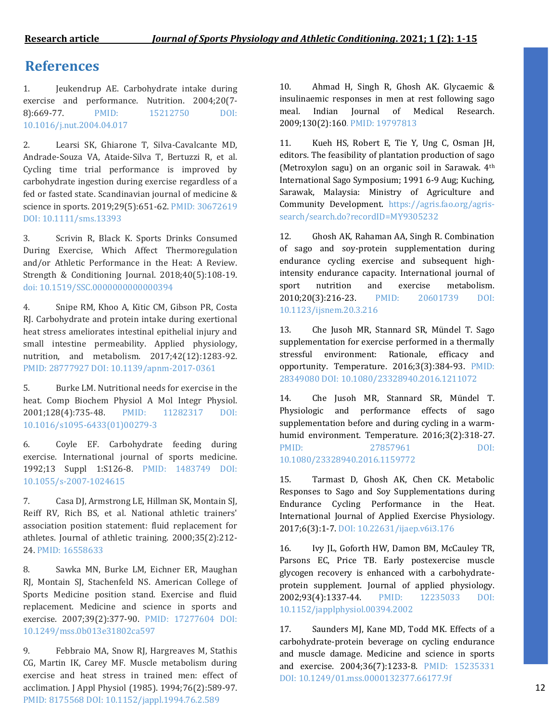## **References**

1. Jeukendrup AE. Carbohydrate intake during exercise and performance. Nutrition. 2004;20(7- 8):669-77. PMID: 15212750 DOI: 10.1016/j.nut.2004.04.017

2. Learsi SK, Ghiarone T, Silva‐Cavalcante MD, Andrade‐Souza VA, Ataide‐Silva T, Bertuzzi R, et al. Cycling time trial performance is improved by carbohydrate ingestion during exercise regardless of a fed or fasted state. Scandinavian journal of medicine & science in sports. 2019;29(5):651-62. PMID: 30672619 DOI: 10.1111/sms.13393

3. Scrivin R, Black K. Sports Drinks Consumed During Exercise, Which Affect Thermoregulation and/or Athletic Performance in the Heat: A Review. Strength & Conditioning Journal. 2018;40(5):108-19. doi: 10.1519/SSC.0000000000000394

4. Snipe RM, Khoo A, Kitic CM, Gibson PR, Costa RJ. Carbohydrate and protein intake during exertional heat stress ameliorates intestinal epithelial injury and small intestine permeability. Applied physiology, nutrition, and metabolism. 2017;42(12):1283-92. PMID: 28777927 DOI: 10.1139/apnm-2017-0361

5. Burke LM. Nutritional needs for exercise in the heat. Comp Biochem Physiol A Mol Integr Physiol. 2001;128(4):735-48. PMID: 11282317 DOI: 10.1016/s1095-6433(01)00279-3

6. Coyle EF. Carbohydrate feeding during exercise. International journal of sports medicine. 1992;13 Suppl 1:S126-8. PMID: 1483749 DOI: 10.1055/s-2007-1024615

7. Casa DJ, Armstrong LE, Hillman SK, Montain SJ, Reiff RV, Rich BS, et al. National athletic trainers' association position statement: fluid replacement for athletes. Journal of athletic training. 2000;35(2):212- 24. PMID: 16558633

8. Sawka MN, Burke LM, Eichner ER, Maughan RJ, Montain SJ, Stachenfeld NS. American College of Sports Medicine position stand. Exercise and fluid replacement. Medicine and science in sports and exercise. 2007;39(2):377-90. PMID: 17277604 DOI: 10.1249/mss.0b013e31802ca597

9. Febbraio MA, Snow RJ, Hargreaves M, Stathis CG, Martin IK, Carey MF. Muscle metabolism during exercise and heat stress in trained men: effect of acclimation. J Appl Physiol (1985). 1994;76(2):589-97. PMID: 8175568 DOI: 10.1152/jappl.1994.76.2.589

10. Ahmad H, Singh R, Ghosh AK. Glycaemic & insulinaemic responses in men at rest following sago meal. Indian Journal of Medical Research. 2009;130(2):160. PMID: 19797813

11. Kueh HS, Robert E, Tie Y, Ung C, Osman JH, editors. The feasibility of plantation production of sago (Metroxylon sagu) on an organic soil in Sarawak. 4<sup>th</sup> International Sago Symposium; 1991 6-9 Aug; Kuching, Sarawak, Malaysia: Ministry of Agriculture and Community Development. https://agris.fao.org/agrissearch/search.do?recordID=MY9305232

12. Ghosh AK, Rahaman AA, Singh R. Combination of sago and soy-protein supplementation during endurance cycling exercise and subsequent highintensity endurance capacity. International journal of sport nutrition and exercise metabolism. 2010;20(3):216-23. PMID: 20601739 DOI: 10.1123/ijsnem.20.3.216

13. Che Jusoh MR, Stannard SR, Mündel T. Sago supplementation for exercise performed in a thermally stressful environment: Rationale, efficacy and opportunity. Temperature. 2016;3(3):384-93. PMID: 28349080 DOI: 10.1080/23328940.2016.1211072

14. Che Jusoh MR, Stannard SR, Mündel T. Physiologic and performance effects of sago supplementation before and during cycling in a warmhumid environment. Temperature. 2016;3(2):318-27. PMID: 27857961 DOI: 10.1080/23328940.2016.1159772

15. Tarmast D, Ghosh AK, Chen CK. Metabolic Responses to Sago and Soy Supplementations during Endurance Cycling Performance in the Heat. International Journal of Applied Exercise Physiology. 2017;6(3):1-7. DOI: 10.22631/ijaep.v6i3.176

16. Ivy JL, Goforth HW, Damon BM, McCauley TR, Parsons EC, Price TB. Early postexercise muscle glycogen recovery is enhanced with a carbohydrateprotein supplement. Journal of applied physiology. 2002;93(4):1337-44. PMID: 12235033 DOI: 10.1152/japplphysiol.00394.2002

17. Saunders MJ, Kane MD, Todd MK. Effects of a carbohydrate-protein beverage on cycling endurance and muscle damage. Medicine and science in sports and exercise. 2004;36(7):1233-8. PMID: 15235331 DOI: 10.1249/01.mss.0000132377.66177.9f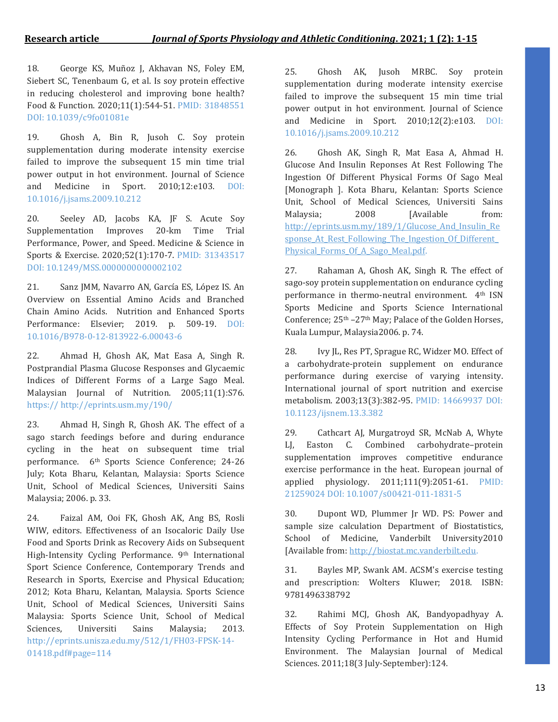18. George KS, Muñoz J, Akhavan NS, Foley EM, Siebert SC, Tenenbaum G, et al. Is soy protein effective in reducing cholesterol and improving bone health? Food & Function. 2020;11(1):544-51. PMID: 31848551 DOI: 10.1039/c9fo01081e

19. Ghosh A, Bin R, Jusoh C. Soy protein supplementation during moderate intensity exercise failed to improve the subsequent 15 min time trial power output in hot environment. Journal of Science and Medicine in Sport. 2010;12:e103. DOI: 10.1016/j.jsams.2009.10.212

20. Seeley AD, Jacobs KA, JF S. Acute Soy Supplementation Improves 20-km Time Trial Performance, Power, and Speed. Medicine & Science in Sports & Exercise. 2020;52(1):170-7. PMID: 31343517 DOI: 10.1249/MSS.0000000000002102

21. Sanz JMM, Navarro AN, García ES, López IS. An Overview on Essential Amino Acids and Branched Chain Amino Acids. Nutrition and Enhanced Sports Performance: Elsevier; 2019. p. 509-19. DOI: 10.1016/B978-0-12-813922-6.00043-6

22. Ahmad H, Ghosh AK, Mat Easa A, Singh R. Postprandial Plasma Glucose Responses and Glycaemic Indices of Different Forms of a Large Sago Meal. Malaysian Journal of Nutrition. 2005;11(1):S76. https:// http://eprints.usm.my/190/

23. Ahmad H, Singh R, Ghosh AK. The effect of a sago starch feedings before and during endurance cycling in the heat on subsequent time trial performance. 6th Sports Science Conference; 24-26 July; Kota Bharu, Kelantan, Malaysia: Sports Science Unit, School of Medical Sciences, Universiti Sains Malaysia; 2006. p. 33.

24. Faizal AM, Ooi FK, Ghosh AK, Ang BS, Rosli WIW, editors. Effectiveness of an Isocaloric Daily Use Food and Sports Drink as Recovery Aids on Subsequent High-Intensity Cycling Performance. 9th International Sport Science Conference, Contemporary Trends and Research in Sports, Exercise and Physical Education; 2012; Kota Bharu, Kelantan, Malaysia. Sports Science Unit, School of Medical Sciences, Universiti Sains Malaysia: Sports Science Unit, School of Medical Sciences, Universiti Sains Malaysia; 2013. http://eprints.unisza.edu.my/512/1/FH03-FPSK-14- 01418.pdf#page=114

25. Ghosh AK, Jusoh MRBC. Soy protein supplementation during moderate intensity exercise failed to improve the subsequent 15 min time trial power output in hot environment. Journal of Science and Medicine in Sport. 2010;12(2):e103. DOI: 10.1016/j.jsams.2009.10.212

26. Ghosh AK, Singh R, Mat Easa A, Ahmad H. Glucose And Insulin Reponses At Rest Following The Ingestion Of Different Physical Forms Of Sago Meal [Monograph ]. Kota Bharu, Kelantan: Sports Science Unit, School of Medical Sciences, Universiti Sains Malaysia; 2008 [Available from: http://eprints.usm.my/189/1/Glucose And Insulin\_Re sponse At Rest Following The Ingestion Of Different [Physical\\_Forms\\_Of\\_A\\_Sago\\_Meal.pdf.](http://eprints.usm.my/189/1/Glucose_And_Insulin_Response_At_Rest_Following_The_Ingestion_Of_Different_Physical_Forms_Of_A_Sago_Meal.pdf)

27. Rahaman A, Ghosh AK, Singh R. The effect of sago-soy protein supplementation on endurance cycling performance in thermo-neutral environment. 4th ISN Sports Medicine and Sports Science International Conference; 25<sup>th</sup> –27<sup>th</sup> May; Palace of the Golden Horses, Kuala Lumpur, Malaysia2006. p. 74.

28. Ivy JL, Res PT, Sprague RC, Widzer MO. Effect of a carbohydrate-protein supplement on endurance performance during exercise of varying intensity. International journal of sport nutrition and exercise metabolism. 2003;13(3):382-95. PMID: 14669937 DOI: 10.1123/ijsnem.13.3.382

29. Cathcart AJ, Murgatroyd SR, McNab A, Whyte LJ, Easton C. Combined carbohydrate–protein supplementation improves competitive endurance exercise performance in the heat. European journal of applied physiology. 2011;111(9):2051-61. PMID: 21259024 DOI: 10.1007/s00421-011-1831-5

30. Dupont WD, Plummer Jr WD. PS: Power and sample size calculation Department of Biostatistics, School of Medicine, Vanderbilt University2010 [Available from: [http://biostat.mc.vanderbilt.edu.](http://biostat.mc.vanderbilt.edu/)

31. Bayles MP, Swank AM. ACSM's exercise testing and prescription: Wolters Kluwer; 2018. ISBN: 9781496338792

32. Rahimi MCJ, Ghosh AK, Bandyopadhyay A. Effects of Soy Protein Supplementation on High Intensity Cycling Performance in Hot and Humid Environment. The Malaysian Journal of Medical Sciences. 2011;18(3 July-September):124.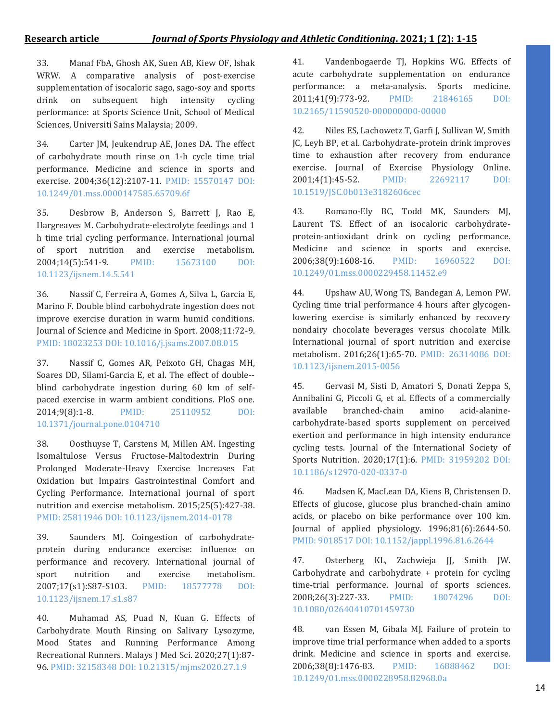33. Manaf FbA, Ghosh AK, Suen AB, Kiew OF, Ishak WRW. A comparative analysis of post-exercise supplementation of isocaloric sago, sago-soy and sports drink on subsequent high intensity cycling performance: at Sports Science Unit, School of Medical Sciences, Universiti Sains Malaysia; 2009.

34. Carter JM, Jeukendrup AE, Jones DA. The effect of carbohydrate mouth rinse on 1-h cycle time trial performance. Medicine and science in sports and exercise. 2004;36(12):2107-11. PMID: 15570147 DOI: 10.1249/01.mss.0000147585.65709.6f

35. Desbrow B, Anderson S, Barrett J, Rao E, Hargreaves M. Carbohydrate-electrolyte feedings and 1 h time trial cycling performance. International journal of sport nutrition and exercise metabolism. 2004;14(5):541-9. PMID: 15673100 DOI: 10.1123/ijsnem.14.5.541

36. Nassif C, Ferreira A, Gomes A, Silva L, Garcia E, Marino F. Double blind carbohydrate ingestion does not improve exercise duration in warm humid conditions. Journal of Science and Medicine in Sport. 2008;11:72-9. PMID: 18023253 DOI: 10.1016/j.jsams.2007.08.015

37. Nassif C, Gomes AR, Peixoto GH, Chagas MH, Soares DD, Silami-Garcia E, et al. The effect of double- blind carbohydrate ingestion during 60 km of selfpaced exercise in warm ambient conditions. PloS one. 2014;9(8):1-8. PMID: 25110952 DOI: 10.1371/journal.pone.0104710

38. Oosthuyse T, Carstens M, Millen AM. Ingesting Isomaltulose Versus Fructose-Maltodextrin During Prolonged Moderate-Heavy Exercise Increases Fat Oxidation but Impairs Gastrointestinal Comfort and Cycling Performance. International journal of sport nutrition and exercise metabolism. 2015;25(5):427-38. PMID: 25811946 DOI: 10.1123/ijsnem.2014-0178

39. Saunders MJ. Coingestion of carbohydrateprotein during endurance exercise: influence on performance and recovery. International journal of sport nutrition and exercise metabolism. 2007;17(s1):S87-S103. PMID: 18577778 DOI: 10.1123/ijsnem.17.s1.s87

40. Muhamad AS, Puad N, Kuan G. Effects of Carbohydrate Mouth Rinsing on Salivary Lysozyme, Mood States and Running Performance Among Recreational Runners. Malays J Med Sci. 2020;27(1):87- 96. PMID: 32158348 DOI: 10.21315/mjms2020.27.1.9

41. Vandenbogaerde TJ, Hopkins WG. Effects of acute carbohydrate supplementation on endurance performance: a meta-analysis. Sports medicine. 2011;41(9):773-92. PMID: 21846165 DOI: 10.2165/11590520-000000000-00000

42. Niles ES, Lachowetz T, Garfi J, Sullivan W, Smith JC, Leyh BP, et al. Carbohydrate-protein drink improves time to exhaustion after recovery from endurance exercise. Journal of Exercise Physiology Online. 2001;4(1):45-52. PMID: 22692117 DOI: 10.1519/JSC.0b013e3182606cec

43. Romano-Ely BC, Todd MK, Saunders MJ, Laurent TS. Effect of an isocaloric carbohydrateprotein-antioxidant drink on cycling performance. Medicine and science in sports and exercise. 2006;38(9):1608-16. PMID: 16960522 DOI: 10.1249/01.mss.0000229458.11452.e9

44. Upshaw AU, Wong TS, Bandegan A, Lemon PW. Cycling time trial performance 4 hours after glycogenlowering exercise is similarly enhanced by recovery nondairy chocolate beverages versus chocolate Milk. International journal of sport nutrition and exercise metabolism. 2016;26(1):65-70. PMID: 26314086 DOI: 10.1123/ijsnem.2015-0056

45. Gervasi M, Sisti D, Amatori S, Donati Zeppa S, Annibalini G, Piccoli G, et al. Effects of a commercially available branched-chain amino acid-alaninecarbohydrate-based sports supplement on perceived exertion and performance in high intensity endurance cycling tests. Journal of the International Society of Sports Nutrition. 2020;17(1):6. PMID: 31959202 DOI: 10.1186/s12970-020-0337-0

46. Madsen K, MacLean DA, Kiens B, Christensen D. Effects of glucose, glucose plus branched-chain amino acids, or placebo on bike performance over 100 km. Journal of applied physiology. 1996;81(6):2644-50. PMID: 9018517 DOI: 10.1152/jappl.1996.81.6.2644

47. Osterberg KL, Zachwieja JJ, Smith JW. Carbohydrate and carbohydrate + protein for cycling time-trial performance. Journal of sports sciences. 2008;26(3):227-33. PMID: 18074296 DOI: 10.1080/02640410701459730

48. van Essen M, Gibala MJ. Failure of protein to improve time trial performance when added to a sports drink. Medicine and science in sports and exercise. 2006;38(8):1476-83. PMID: 16888462 DOI: 10.1249/01.mss.0000228958.82968.0a